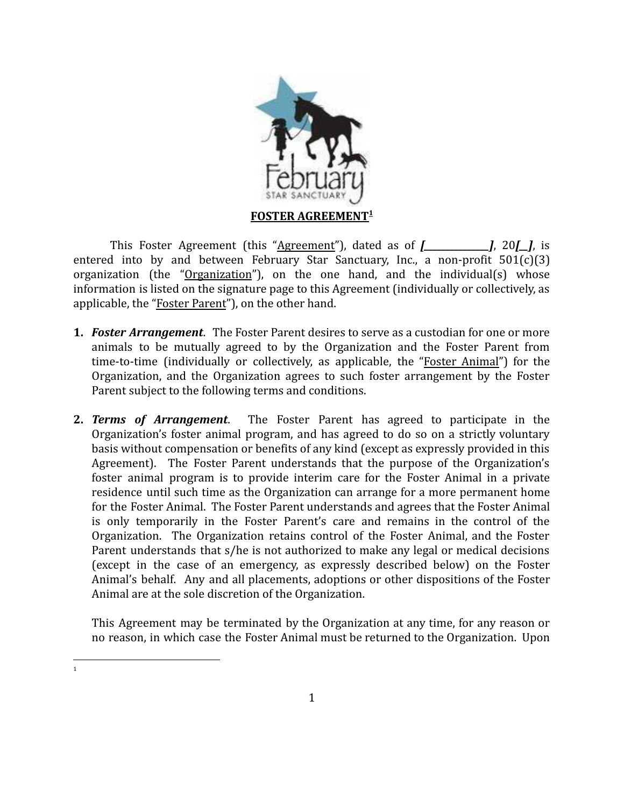

This Foster Agreement (this "Agreement"), dated as of *[\_\_\_\_\_\_\_\_\_\_\_\_\_\_\_]*, 20*[\_\_]*, is entered into by and between February Star Sanctuary, Inc., a non-profit 501(c)(3) organization (the "Organization"), on the one hand, and the individual(s) whose information is listed on the signature page to this Agreement (individually or collectively, as applicable, the "Foster Parent"), on the other hand.

- **1.** *Foster Arrangement*. The Foster Parent desires to serve as a custodian for one or more animals to be mutually agreed to by the Organization and the Foster Parent from time-to-time (individually or collectively, as applicable, the "Foster Animal") for the Organization, and the Organization agrees to such foster arrangement by the Foster Parent subject to the following terms and conditions.
- **2.** *Terms of Arrangement*. The Foster Parent has agreed to participate in the Organization's foster animal program, and has agreed to do so on a strictly voluntary basis without compensation or benefits of any kind (except as expressly provided in this Agreement). The Foster Parent understands that the purpose of the Organization's foster animal program is to provide interim care for the Foster Animal in a private residence until such time as the Organization can arrange for a more permanent home for the Foster Animal. The Foster Parent understands and agrees that the Foster Animal is only temporarily in the Foster Parent's care and remains in the control of the Organization. The Organization retains control of the Foster Animal, and the Foster Parent understands that s/he is not authorized to make any legal or medical decisions (except in the case of an emergency, as expressly described below) on the Foster Animal's behalf. Any and all placements, adoptions or other dispositions of the Foster Animal are at the sole discretion of the Organization.

This Agreement may be terminated by the Organization at any time, for any reason or no reason, in which case the Foster Animal must be returned to the Organization. Upon

1

1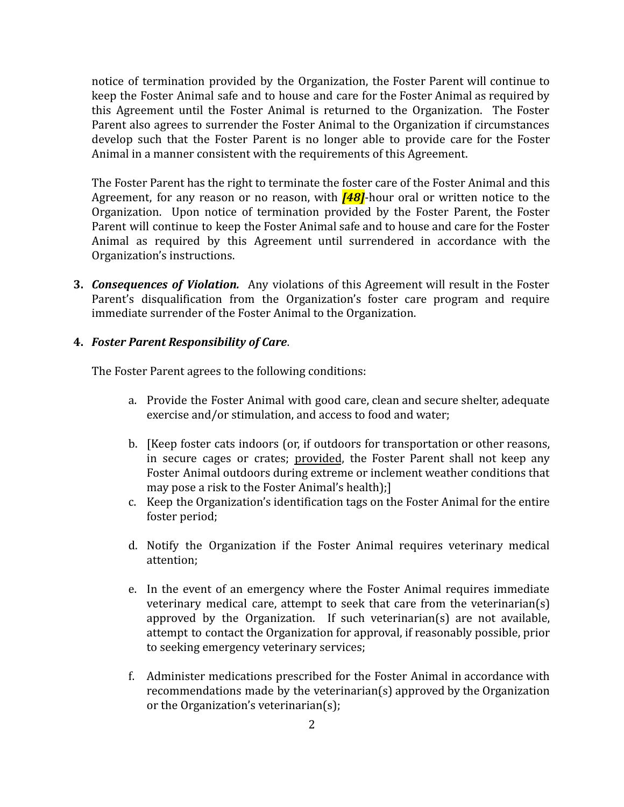notice of termination provided by the Organization, the Foster Parent will continue to keep the Foster Animal safe and to house and care for the Foster Animal as required by this Agreement until the Foster Animal is returned to the Organization. The Foster Parent also agrees to surrender the Foster Animal to the Organization if circumstances develop such that the Foster Parent is no longer able to provide care for the Foster Animal in a manner consistent with the requirements of this Agreement.

The Foster Parent has the right to terminate the foster care of the Foster Animal and this Agreement, for any reason or no reason, with *[48]*-hour oral or written notice to the Organization. Upon notice of termination provided by the Foster Parent, the Foster Parent will continue to keep the Foster Animal safe and to house and care for the Foster Animal as required by this Agreement until surrendered in accordance with the Organization's instructions.

**3.** *Consequences of Violation.* Any violations of this Agreement will result in the Foster Parent's disqualification from the Organization's foster care program and require immediate surrender of the Foster Animal to the Organization.

## **4.** *Foster Parent Responsibility of Care*.

The Foster Parent agrees to the following conditions:

- a. Provide the Foster Animal with good care, clean and secure shelter, adequate exercise and/or stimulation, and access to food and water;
- b. [Keep foster cats indoors (or, if outdoors for transportation or other reasons, in secure cages or crates; provided, the Foster Parent shall not keep any Foster Animal outdoors during extreme or inclement weather conditions that may pose a risk to the Foster Animal's health);]
- c. Keep the Organization's identification tags on the Foster Animal for the entire foster period;
- d. Notify the Organization if the Foster Animal requires veterinary medical attention;
- e. In the event of an emergency where the Foster Animal requires immediate veterinary medical care, attempt to seek that care from the veterinarian(s) approved by the Organization. If such veterinarian(s) are not available, attempt to contact the Organization for approval, if reasonably possible, prior to seeking emergency veterinary services;
- f. Administer medications prescribed for the Foster Animal in accordance with recommendations made by the veterinarian(s) approved by the Organization or the Organization's veterinarian(s);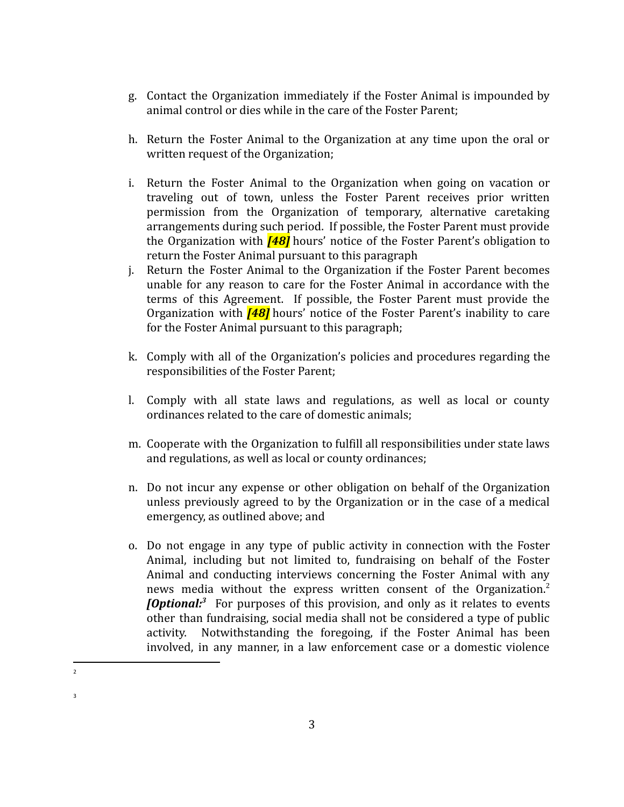- g. Contact the Organization immediately if the Foster Animal is impounded by animal control or dies while in the care of the Foster Parent;
- h. Return the Foster Animal to the Organization at any time upon the oral or written request of the Organization;
- i. Return the Foster Animal to the Organization when going on vacation or traveling out of town, unless the Foster Parent receives prior written permission from the Organization of temporary, alternative caretaking arrangements during such period. If possible, the Foster Parent must provide the Organization with *[48]* hours' notice of the Foster Parent's obligation to return the Foster Animal pursuant to this paragraph
- j. Return the Foster Animal to the Organization if the Foster Parent becomes unable for any reason to care for the Foster Animal in accordance with the terms of this Agreement. If possible, the Foster Parent must provide the Organization with *[48]* hours' notice of the Foster Parent's inability to care for the Foster Animal pursuant to this paragraph;
- k. Comply with all of the Organization's policies and procedures regarding the responsibilities of the Foster Parent;
- l. Comply with all state laws and regulations, as well as local or county ordinances related to the care of domestic animals;
- m. Cooperate with the Organization to fulfill all responsibilities under state laws and regulations, as well as local or county ordinances;
- n. Do not incur any expense or other obligation on behalf of the Organization unless previously agreed to by the Organization or in the case of a medical emergency, as outlined above; and
- o. Do not engage in any type of public activity in connection with the Foster Animal, including but not limited to, fundraising on behalf of the Foster Animal and conducting interviews concerning the Foster Animal with any news media without the express written consent of the Organization.<sup>2</sup> *[Optional:*<sup>3</sup> For purposes of this provision, and only as it relates to events other than fundraising, social media shall not be considered a type of public activity. Notwithstanding the foregoing, if the Foster Animal has been involved, in any manner, in a law enforcement case or a domestic violence

<sup>2</sup>

<sup>3</sup>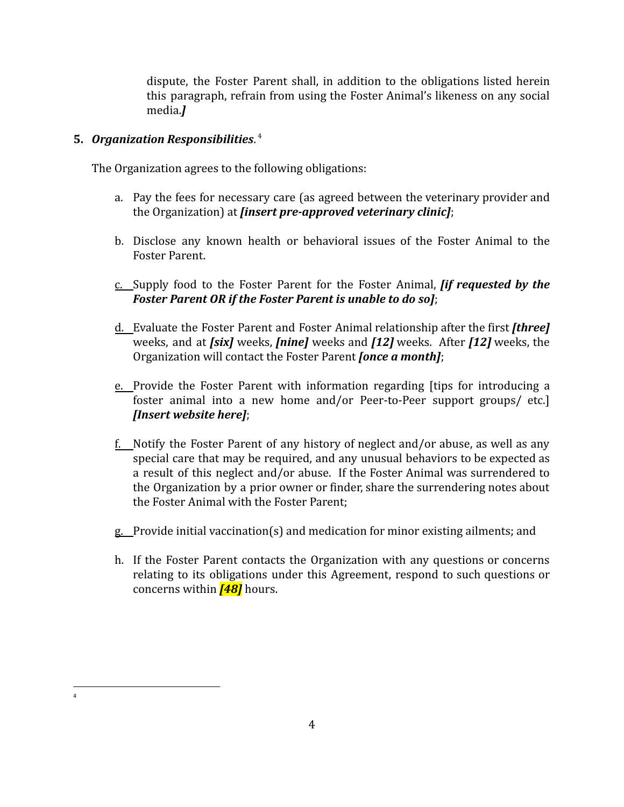dispute, the Foster Parent shall, in addition to the obligations listed herein this paragraph, refrain from using the Foster Animal's likeness on any social media.*]*

# **5.** *Organization Responsibilities*. 4

4

The Organization agrees to the following obligations:

- a. Pay the fees for necessary care (as agreed between the veterinary provider and the Organization) at *[insert pre-approved veterinary clinic]*;
- b. Disclose any known health or behavioral issues of the Foster Animal to the Foster Parent.
- c. Supply food to the Foster Parent for the Foster Animal, *[if requested by the Foster Parent OR if the Foster Parent is unable to do so]*;
- d. Evaluate the Foster Parent and Foster Animal relationship after the first *[three]* weeks, and at *[six]* weeks, *[nine]* weeks and *[12]* weeks. After *[12]* weeks, the Organization will contact the Foster Parent *[once a month]*;
- e. Provide the Foster Parent with information regarding [tips for introducing a foster animal into a new home and/or Peer-to-Peer support groups/ etc.] *[Insert website here]*;
- f. Notify the Foster Parent of any history of neglect and/or abuse, as well as any special care that may be required, and any unusual behaviors to be expected as a result of this neglect and/or abuse. If the Foster Animal was surrendered to the Organization by a prior owner or finder, share the surrendering notes about the Foster Animal with the Foster Parent;
- g. Provide initial vaccination(s) and medication for minor existing ailments; and
- h. If the Foster Parent contacts the Organization with any questions or concerns relating to its obligations under this Agreement, respond to such questions or concerns within *[48]* hours.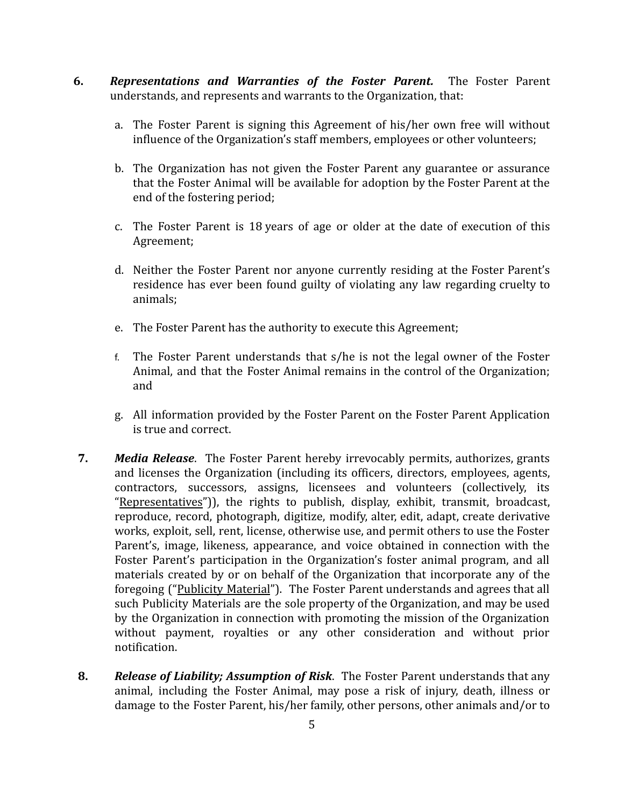- **6.** *Representations and Warranties of the Foster Parent.* The Foster Parent understands, and represents and warrants to the Organization, that:
	- a. The Foster Parent is signing this Agreement of his/her own free will without influence of the Organization's staff members, employees or other volunteers;
	- b. The Organization has not given the Foster Parent any guarantee or assurance that the Foster Animal will be available for adoption by the Foster Parent at the end of the fostering period;
	- c. The Foster Parent is 18 years of age or older at the date of execution of this Agreement;
	- d. Neither the Foster Parent nor anyone currently residing at the Foster Parent's residence has ever been found guilty of violating any law regarding cruelty to animals;
	- e. The Foster Parent has the authority to execute this Agreement;
	- f. The Foster Parent understands that s/he is not the legal owner of the Foster Animal, and that the Foster Animal remains in the control of the Organization; and
	- g. All information provided by the Foster Parent on the Foster Parent Application is true and correct.
- **7.** *Media Release*. The Foster Parent hereby irrevocably permits, authorizes, grants and licenses the Organization (including its officers, directors, employees, agents, contractors, successors, assigns, licensees and volunteers (collectively, its "Representatives")), the rights to publish, display, exhibit, transmit, broadcast, reproduce, record, photograph, digitize, modify, alter, edit, adapt, create derivative works, exploit, sell, rent, license, otherwise use, and permit others to use the Foster Parent's, image, likeness, appearance, and voice obtained in connection with the Foster Parent's participation in the Organization's foster animal program, and all materials created by or on behalf of the Organization that incorporate any of the foregoing ("Publicity Material"). The Foster Parent understands and agrees that all such Publicity Materials are the sole property of the Organization, and may be used by the Organization in connection with promoting the mission of the Organization without payment, royalties or any other consideration and without prior notification.
- **8.** *Release of Liability; Assumption of Risk*. The Foster Parent understands that any animal, including the Foster Animal, may pose a risk of injury, death, illness or damage to the Foster Parent, his/her family, other persons, other animals and/or to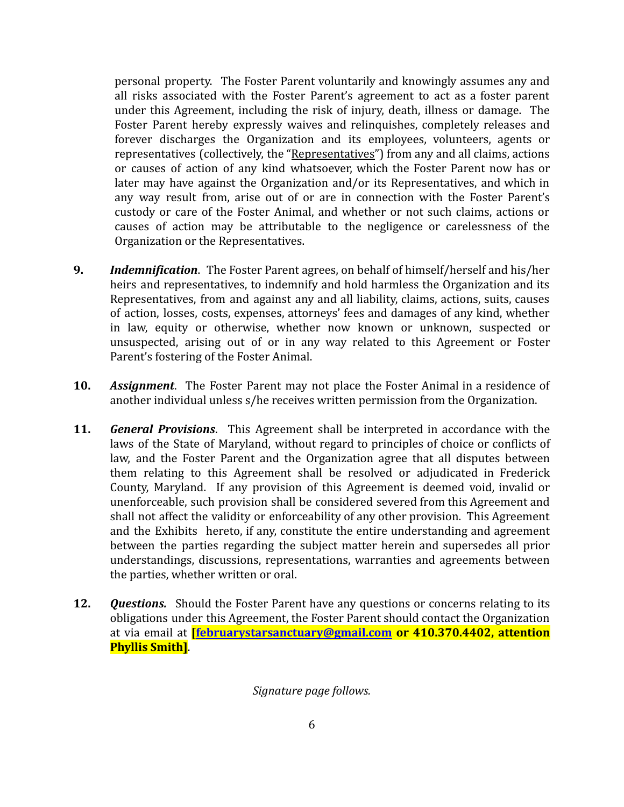personal property. The Foster Parent voluntarily and knowingly assumes any and all risks associated with the Foster Parent's agreement to act as a foster parent under this Agreement, including the risk of injury, death, illness or damage. The Foster Parent hereby expressly waives and relinquishes, completely releases and forever discharges the Organization and its employees, volunteers, agents or representatives (collectively, the "Representatives") from any and all claims, actions or causes of action of any kind whatsoever, which the Foster Parent now has or later may have against the Organization and/or its Representatives, and which in any way result from, arise out of or are in connection with the Foster Parent's custody or care of the Foster Animal, and whether or not such claims, actions or causes of action may be attributable to the negligence or carelessness of the Organization or the Representatives.

- **9.** *Indemnification*. The Foster Parent agrees, on behalf of himself/herself and his/her heirs and representatives, to indemnify and hold harmless the Organization and its Representatives, from and against any and all liability, claims, actions, suits, causes of action, losses, costs, expenses, attorneys' fees and damages of any kind, whether in law, equity or otherwise, whether now known or unknown, suspected or unsuspected, arising out of or in any way related to this Agreement or Foster Parent's fostering of the Foster Animal.
- **10.** *Assignment*. The Foster Parent may not place the Foster Animal in a residence of another individual unless s/he receives written permission from the Organization.
- **11.** *General Provisions*. This Agreement shall be interpreted in accordance with the laws of the State of Maryland, without regard to principles of choice or conflicts of law, and the Foster Parent and the Organization agree that all disputes between them relating to this Agreement shall be resolved or adjudicated in Frederick County, Maryland. If any provision of this Agreement is deemed void, invalid or unenforceable, such provision shall be considered severed from this Agreement and shall not affect the validity or enforceability of any other provision. This Agreement and the Exhibits hereto, if any, constitute the entire understanding and agreement between the parties regarding the subject matter herein and supersedes all prior understandings, discussions, representations, warranties and agreements between the parties, whether written or oral.
- **12.** *Questions.* Should the Foster Parent have any questions or concerns relating to its obligations under this Agreement, the Foster Parent should contact the Organization at via email at **[\[februarystarsanctuary@gmail.com](mailto:februarystarsanctuary@gmail.com) or 410.370.4402, attention Phyllis Smith]**.

#### *Signature page follows.*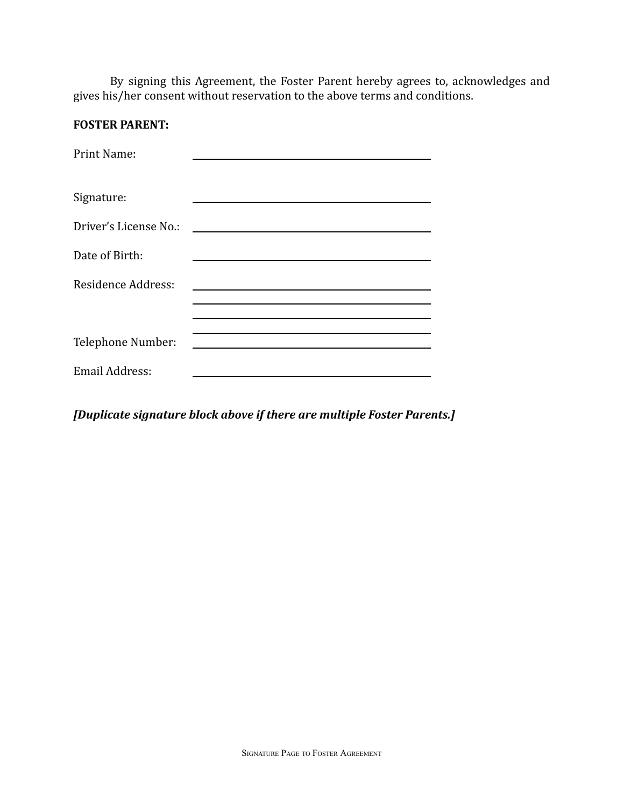By signing this Agreement, the Foster Parent hereby agrees to, acknowledges and gives his/her consent without reservation to the above terms and conditions.

## **FOSTER PARENT:**

| <b>Print Name:</b>    |  |
|-----------------------|--|
| Signature:            |  |
| Driver's License No.: |  |
| Date of Birth:        |  |
| Residence Address:    |  |
|                       |  |
| Telephone Number:     |  |
| <b>Email Address:</b> |  |

*[Duplicate signature block above if there are multiple Foster Parents.]*